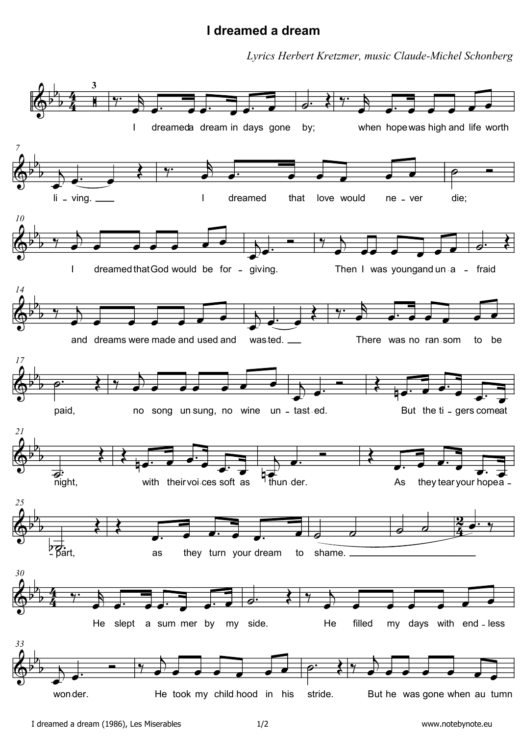## I dreamed a dream

Lyrics Herbert Kretzmer, music Claude-Michel Schonberg